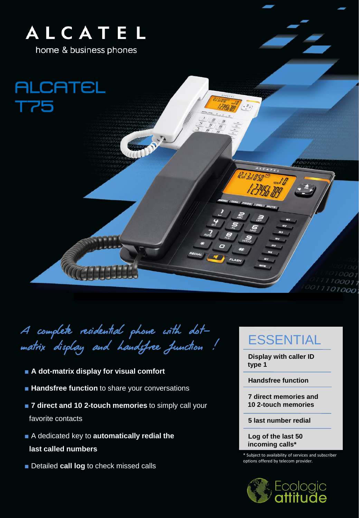

A complete residential phone with dotmatrix display and handsfree function !

- **A** dot-matrix display for visual comfort
- **EXTERN Handsfree function** to share your conversations
- **7 direct and 10 2-touch memories** to simply call your favorite contacts
- A dedicated key to **automatically redial the last called numbers**
- Detailed **call log** to check missed calls

## ESSENTIAL

 $10001$  $111100011$ 0011101000

**Display with caller ID type 1** 

**Handsfree function**

**7 direct memories and 10 2-touch memories**

**5 last number redial**

**Log of the last 50 incoming calls\***

\* Subject to availability of services and subscriber options offered by telecom provider.